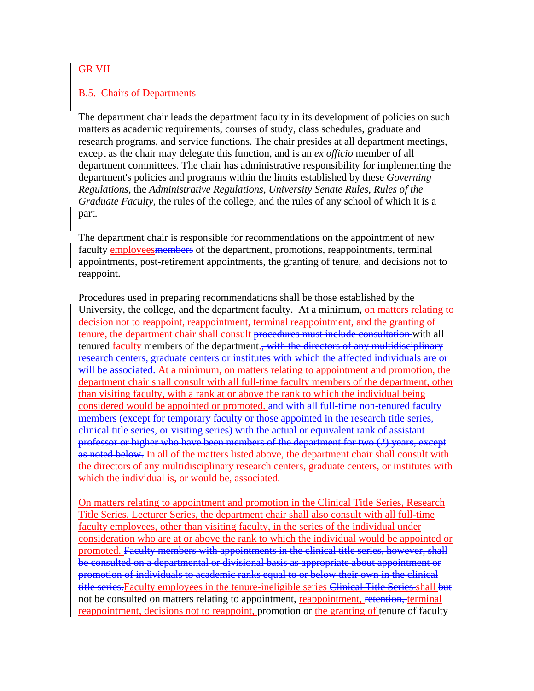## GR VII

## B.5. Chairs of Departments

The department chair leads the department faculty in its development of policies on such matters as academic requirements, courses of study, class schedules, graduate and research programs, and service functions. The chair presides at all department meetings, except as the chair may delegate this function, and is an *ex officio* member of all department committees. The chair has administrative responsibility for implementing the department's policies and programs within the limits established by these *Governing Regulations*, the *Administrative Regulations*, *University Senate Rules*, *Rules of the Graduate Faculty*, the rules of the college, and the rules of any school of which it is a part.

The department chair is responsible for recommendations on the appointment of new faculty employees members of the department, promotions, reappointments, terminal appointments, post-retirement appointments, the granting of tenure, and decisions not to reappoint.

Procedures used in preparing recommendations shall be those established by the University, the college, and the department faculty. At a minimum, on matters relating to decision not to reappoint, reappointment, terminal reappointment, and the granting of tenure, the department chair shall consult procedures must include consultation with all tenured faculty members of the department., with the directors of any multidisciplinary research centers, graduate centers or institutes with which the affected individuals are or will be associated. At a minimum, on matters relating to appointment and promotion, the department chair shall consult with all full-time faculty members of the department, other than visiting faculty, with a rank at or above the rank to which the individual being considered would be appointed or promoted, and with all full-time non-tenured faculty members (except for temporary faculty or those appointed in the research title series, clinical title series, or visiting series) with the actual or equivalent rank of assistant professor or higher who have been members of the department for two (2) years, except as noted below. In all of the matters listed above, the department chair shall consult with the directors of any multidisciplinary research centers, graduate centers, or institutes with which the individual is, or would be, associated.

On matters relating to appointment and promotion in the Clinical Title Series, Research Title Series, Lecturer Series, the department chair shall also consult with all full-time faculty employees, other than visiting faculty, in the series of the individual under consideration who are at or above the rank to which the individual would be appointed or promoted. Faculty members with appointments in the clinical title series, however, shall be consulted on a departmental or divisional basis as appropriate about appointment or promotion of individuals to academic ranks equal to or below their own in the clinical title series. Faculty employees in the tenure-ineligible series Clinical Title Series shall but not be consulted on matters relating to appointment, reappointment, retention, terminal reappointment, decisions not to reappoint, promotion or the granting of tenure of faculty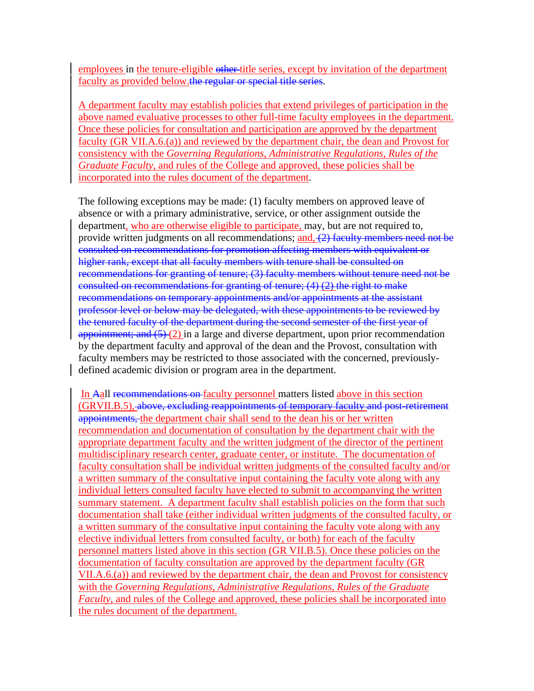employees in the tenure-eligible other title series, except by invitation of the department faculty as provided below.the regular or special title series.

A department faculty may establish policies that extend privileges of participation in the above named evaluative processes to other full-time faculty employees in the department. Once these policies for consultation and participation are approved by the department faculty (GR VII.A.6.(a)) and reviewed by the department chair, the dean and Provost for consistency with the *Governing Regulations*, *Administrative Regulations*, *Rules of the Graduate Faculty*, and rules of the College and approved, these policies shall be incorporated into the rules document of the department.

The following exceptions may be made: (1) faculty members on approved leave of absence or with a primary administrative, service, or other assignment outside the department, who are otherwise eligible to participate, may, but are not required to, provide written judgments on all recommendations; and, (2) faculty members need not be consulted on recommendations for promotion affecting members with equivalent or higher rank, except that all faculty members with tenure shall be consulted on recommendations for granting of tenure; (3) faculty members without tenure need not be consulted on recommendations for granting of tenure; (4) (2) the right to make recommendations on temporary appointments and/or appointments at the assistant professor level or below may be delegated, with these appointments to be reviewed by the tenured faculty of the department during the second semester of the first year of appointment; and  $(5)(2)$  in a large and diverse department, upon prior recommendation by the department faculty and approval of the dean and the Provost, consultation with faculty members may be restricted to those associated with the concerned, previouslydefined academic division or program area in the department.

In Aall recommendations on faculty personnel matters listed above in this section (GRVII.B.5), above, excluding reappointments of temporary faculty and post-retirement appointments, the department chair shall send to the dean his or her written recommendation and documentation of consultation by the department chair with the appropriate department faculty and the written judgment of the director of the pertinent multidisciplinary research center, graduate center, or institute. The documentation of faculty consultation shall be individual written judgments of the consulted faculty and/or a written summary of the consultative input containing the faculty vote along with any individual letters consulted faculty have elected to submit to accompanying the written summary statement. A department faculty shall establish policies on the form that such documentation shall take (either individual written judgments of the consulted faculty, or a written summary of the consultative input containing the faculty vote along with any elective individual letters from consulted faculty, or both) for each of the faculty personnel matters listed above in this section (GR VII.B.5). Once these policies on the documentation of faculty consultation are approved by the department faculty (GR VII.A.6.(a)) and reviewed by the department chair, the dean and Provost for consistency with the *Governing Regulations*, *Administrative Regulations*, *Rules of the Graduate Faculty*, and rules of the College and approved, these policies shall be incorporated into the rules document of the department.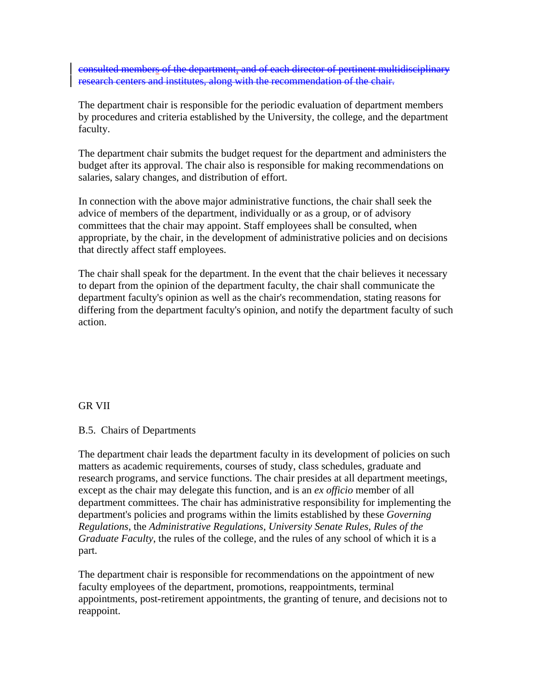consulted members of the department, and of each director of pertinent multidisciplinary research centers and institutes, along with the recommendation of the chair.

The department chair is responsible for the periodic evaluation of department members by procedures and criteria established by the University, the college, and the department faculty.

The department chair submits the budget request for the department and administers the budget after its approval. The chair also is responsible for making recommendations on salaries, salary changes, and distribution of effort.

In connection with the above major administrative functions, the chair shall seek the advice of members of the department, individually or as a group, or of advisory committees that the chair may appoint. Staff employees shall be consulted, when appropriate, by the chair, in the development of administrative policies and on decisions that directly affect staff employees.

The chair shall speak for the department. In the event that the chair believes it necessary to depart from the opinion of the department faculty, the chair shall communicate the department faculty's opinion as well as the chair's recommendation, stating reasons for differing from the department faculty's opinion, and notify the department faculty of such action.

## GR VII

## B.5. Chairs of Departments

The department chair leads the department faculty in its development of policies on such matters as academic requirements, courses of study, class schedules, graduate and research programs, and service functions. The chair presides at all department meetings, except as the chair may delegate this function, and is an *ex officio* member of all department committees. The chair has administrative responsibility for implementing the department's policies and programs within the limits established by these *Governing Regulations*, the *Administrative Regulations*, *University Senate Rules*, *Rules of the Graduate Faculty*, the rules of the college, and the rules of any school of which it is a part.

The department chair is responsible for recommendations on the appointment of new faculty employees of the department, promotions, reappointments, terminal appointments, post-retirement appointments, the granting of tenure, and decisions not to reappoint.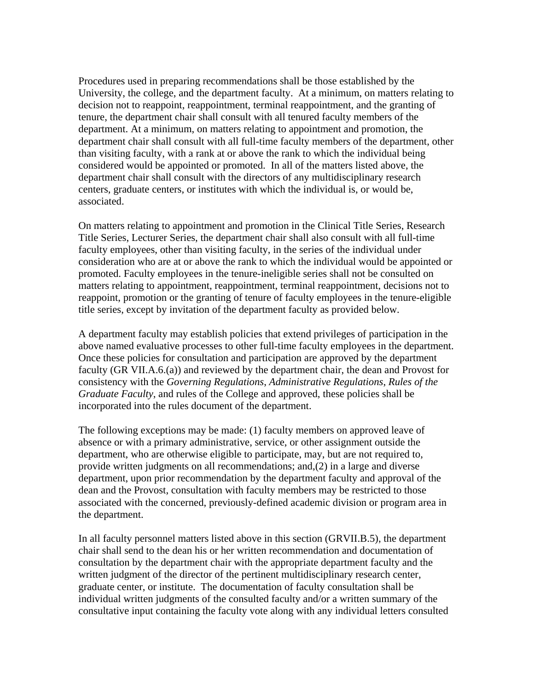Procedures used in preparing recommendations shall be those established by the University, the college, and the department faculty. At a minimum, on matters relating to decision not to reappoint, reappointment, terminal reappointment, and the granting of tenure, the department chair shall consult with all tenured faculty members of the department. At a minimum, on matters relating to appointment and promotion, the department chair shall consult with all full-time faculty members of the department, other than visiting faculty, with a rank at or above the rank to which the individual being considered would be appointed or promoted. In all of the matters listed above, the department chair shall consult with the directors of any multidisciplinary research centers, graduate centers, or institutes with which the individual is, or would be, associated.

On matters relating to appointment and promotion in the Clinical Title Series, Research Title Series, Lecturer Series, the department chair shall also consult with all full-time faculty employees, other than visiting faculty, in the series of the individual under consideration who are at or above the rank to which the individual would be appointed or promoted. Faculty employees in the tenure-ineligible series shall not be consulted on matters relating to appointment, reappointment, terminal reappointment, decisions not to reappoint, promotion or the granting of tenure of faculty employees in the tenure-eligible title series, except by invitation of the department faculty as provided below.

A department faculty may establish policies that extend privileges of participation in the above named evaluative processes to other full-time faculty employees in the department. Once these policies for consultation and participation are approved by the department faculty (GR VII.A.6.(a)) and reviewed by the department chair, the dean and Provost for consistency with the *Governing Regulations*, *Administrative Regulations*, *Rules of the Graduate Faculty*, and rules of the College and approved, these policies shall be incorporated into the rules document of the department.

The following exceptions may be made: (1) faculty members on approved leave of absence or with a primary administrative, service, or other assignment outside the department, who are otherwise eligible to participate, may, but are not required to, provide written judgments on all recommendations; and,(2) in a large and diverse department, upon prior recommendation by the department faculty and approval of the dean and the Provost, consultation with faculty members may be restricted to those associated with the concerned, previously-defined academic division or program area in the department.

In all faculty personnel matters listed above in this section (GRVII.B.5), the department chair shall send to the dean his or her written recommendation and documentation of consultation by the department chair with the appropriate department faculty and the written judgment of the director of the pertinent multidisciplinary research center, graduate center, or institute. The documentation of faculty consultation shall be individual written judgments of the consulted faculty and/or a written summary of the consultative input containing the faculty vote along with any individual letters consulted